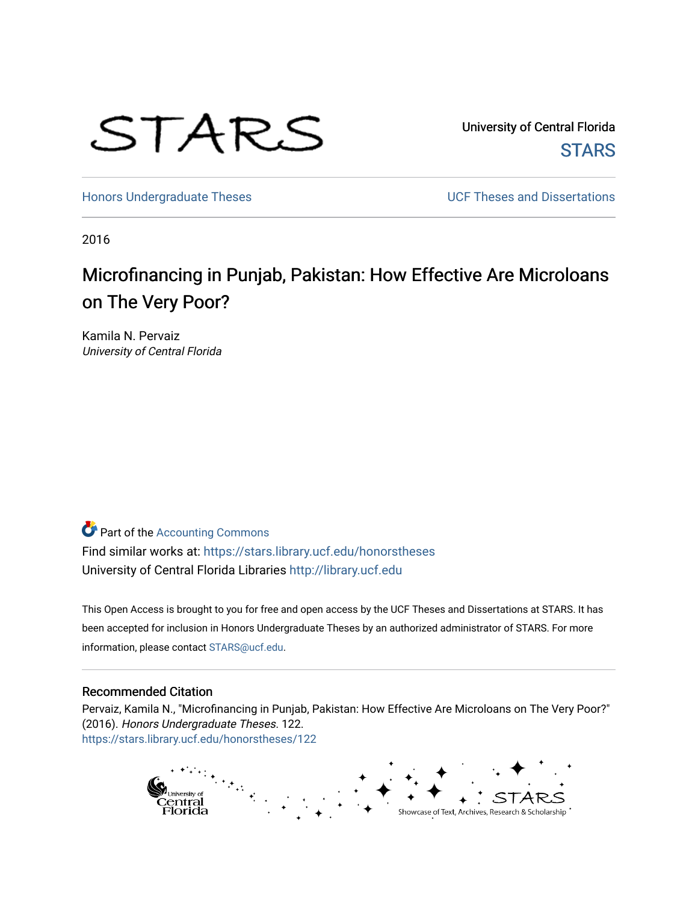

University of Central Florida **STARS** 

[Honors Undergraduate Theses](https://stars.library.ucf.edu/honorstheses) **Exercise 2018** UCF Theses and Dissertations

2016

# Microfinancing in Punjab, Pakistan: How Effective Are Microloans on The Very Poor?

Kamila N. Pervaiz University of Central Florida

# **Part of the [Accounting Commons](http://network.bepress.com/hgg/discipline/625?utm_source=stars.library.ucf.edu%2Fhonorstheses%2F122&utm_medium=PDF&utm_campaign=PDFCoverPages)**

Find similar works at: <https://stars.library.ucf.edu/honorstheses> University of Central Florida Libraries [http://library.ucf.edu](http://library.ucf.edu/) 

This Open Access is brought to you for free and open access by the UCF Theses and Dissertations at STARS. It has been accepted for inclusion in Honors Undergraduate Theses by an authorized administrator of STARS. For more information, please contact [STARS@ucf.edu.](mailto:STARS@ucf.edu)

#### Recommended Citation

Pervaiz, Kamila N., "Microfinancing in Punjab, Pakistan: How Effective Are Microloans on The Very Poor?" (2016). Honors Undergraduate Theses. 122. [https://stars.library.ucf.edu/honorstheses/122](https://stars.library.ucf.edu/honorstheses/122?utm_source=stars.library.ucf.edu%2Fhonorstheses%2F122&utm_medium=PDF&utm_campaign=PDFCoverPages) 

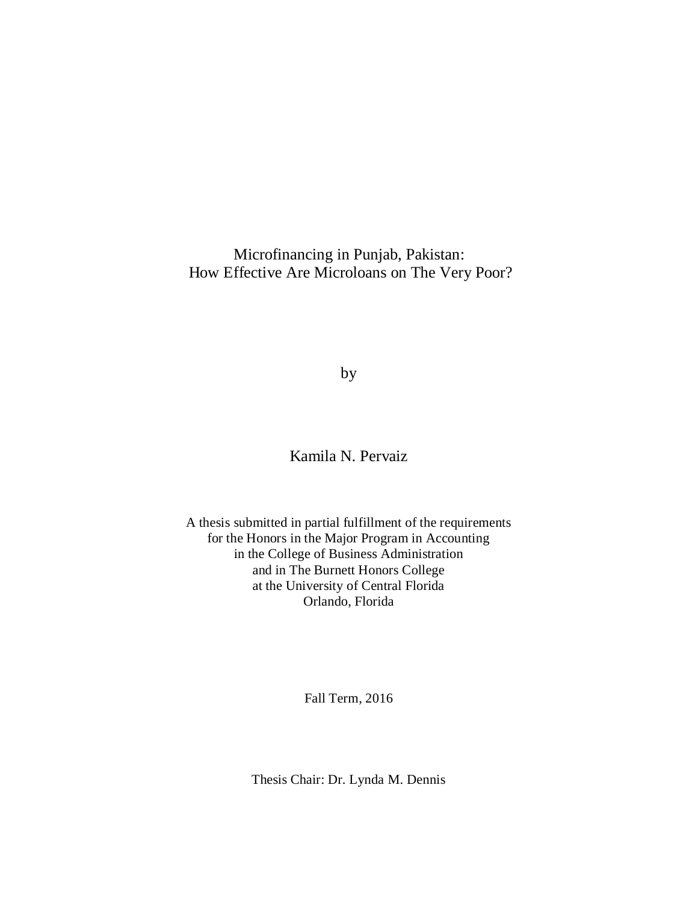Microfinancing in Punjab, Pakistan: How Effective Are Microloans on The Very Poor?

by

Kamila N. Pervaiz

A thesis submitted in partial fulfillment of the requirements for the Honors in the Major Program in Accounting in the College of Business Administration and in The Burnett Honors College at the University of Central Florida Orlando, Florida

Fall Term, 2016

Thesis Chair: Dr. Lynda M. Dennis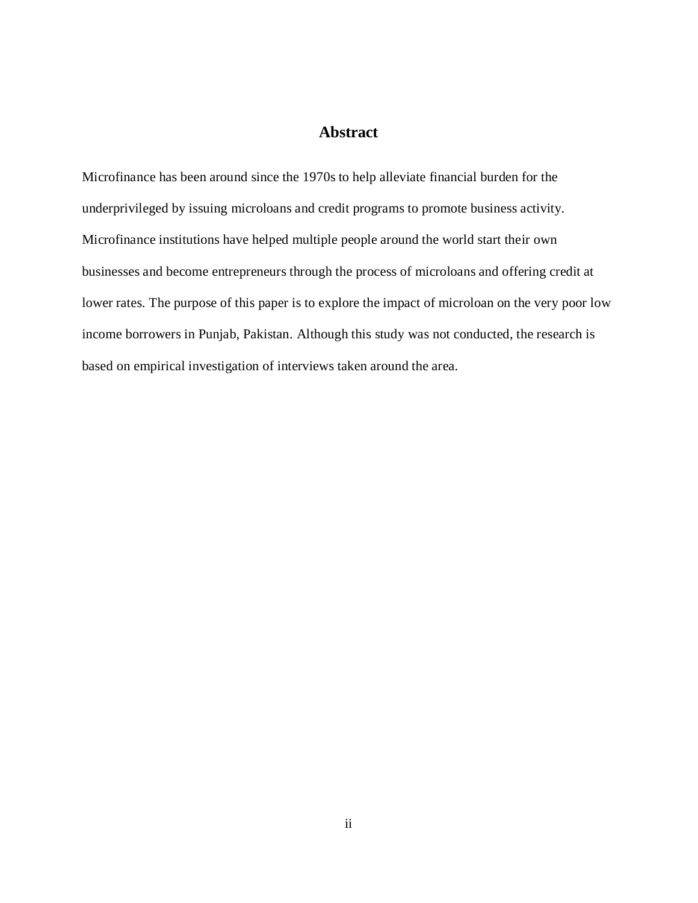## **Abstract**

Microfinance has been around since the 1970s to help alleviate financial burden for the underprivileged by issuing microloans and credit programs to promote business activity. Microfinance institutions have helped multiple people around the world start their own businesses and become entrepreneurs through the process of microloans and offering credit at lower rates. The purpose of this paper is to explore the impact of microloan on the very poor low income borrowers in Punjab, Pakistan. Although this study was not conducted, the research is based on empirical investigation of interviews taken around the area.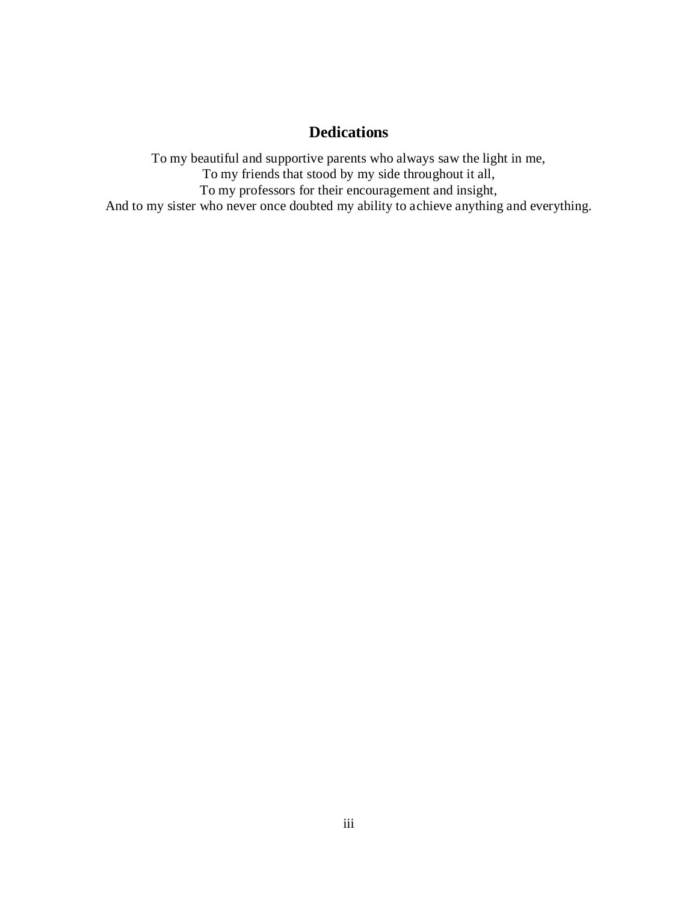# **Dedications**

To my beautiful and supportive parents who always saw the light in me, To my friends that stood by my side throughout it all, To my professors for their encouragement and insight, And to my sister who never once doubted my ability to achieve anything and everything.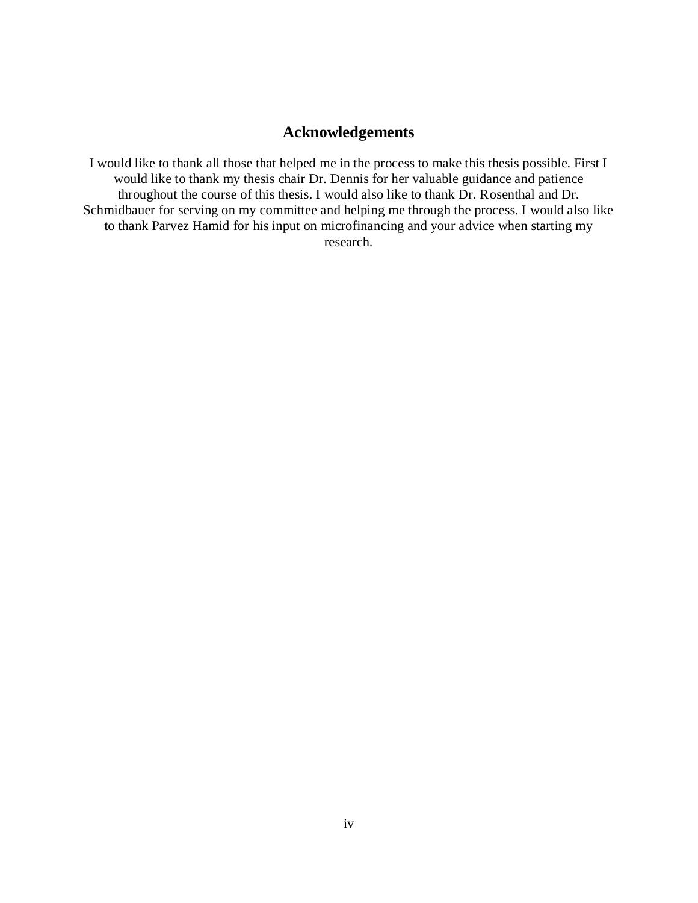## **Acknowledgements**

I would like to thank all those that helped me in the process to make this thesis possible. First I would like to thank my thesis chair Dr. Dennis for her valuable guidance and patience throughout the course of this thesis. I would also like to thank Dr. Rosenthal and Dr. Schmidbauer for serving on my committee and helping me through the process. I would also like to thank Parvez Hamid for his input on microfinancing and your advice when starting my research.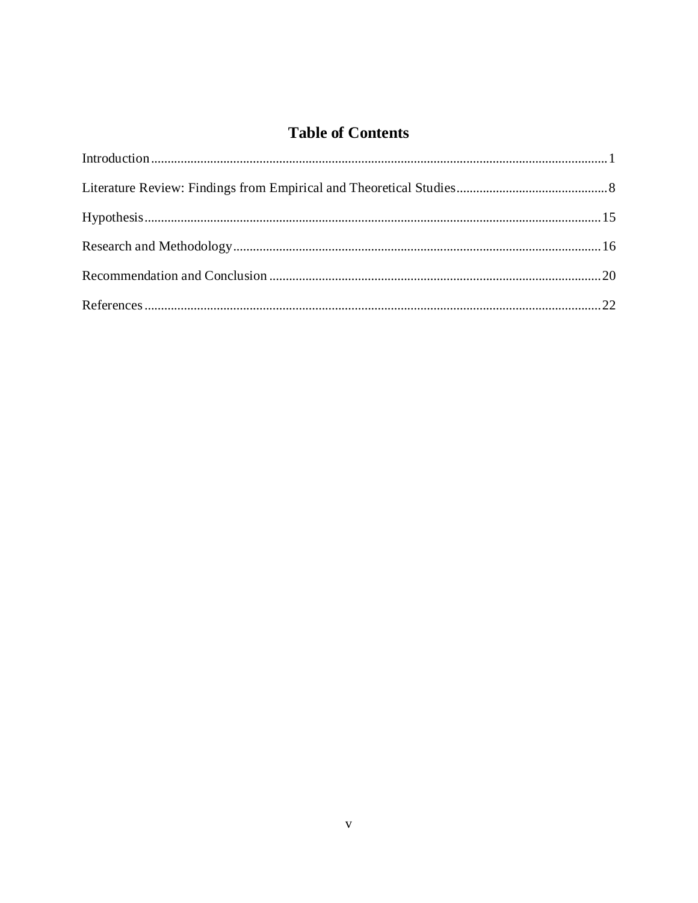# **Table of Contents**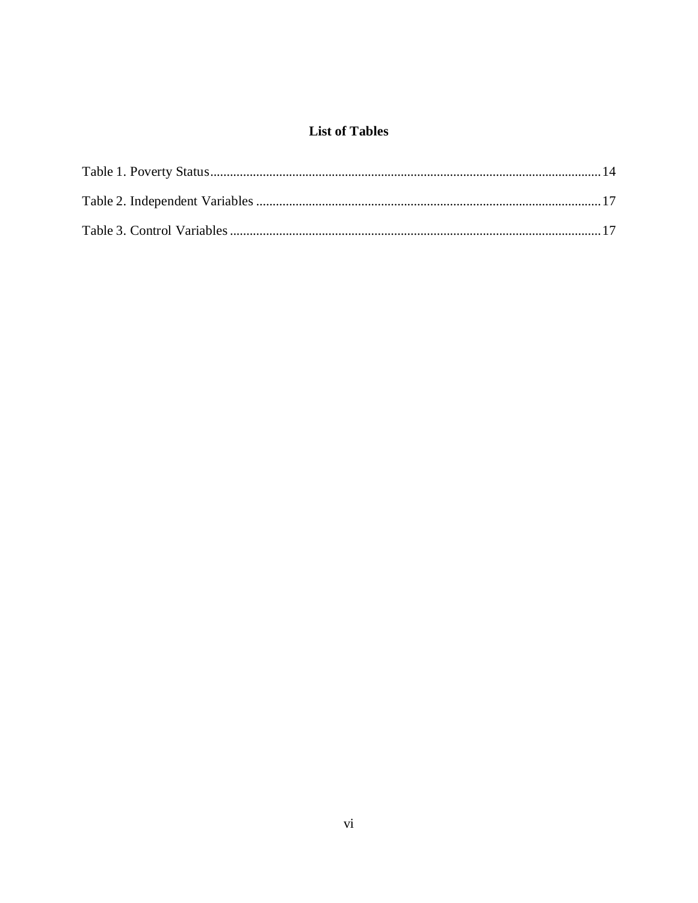## **List of Tables**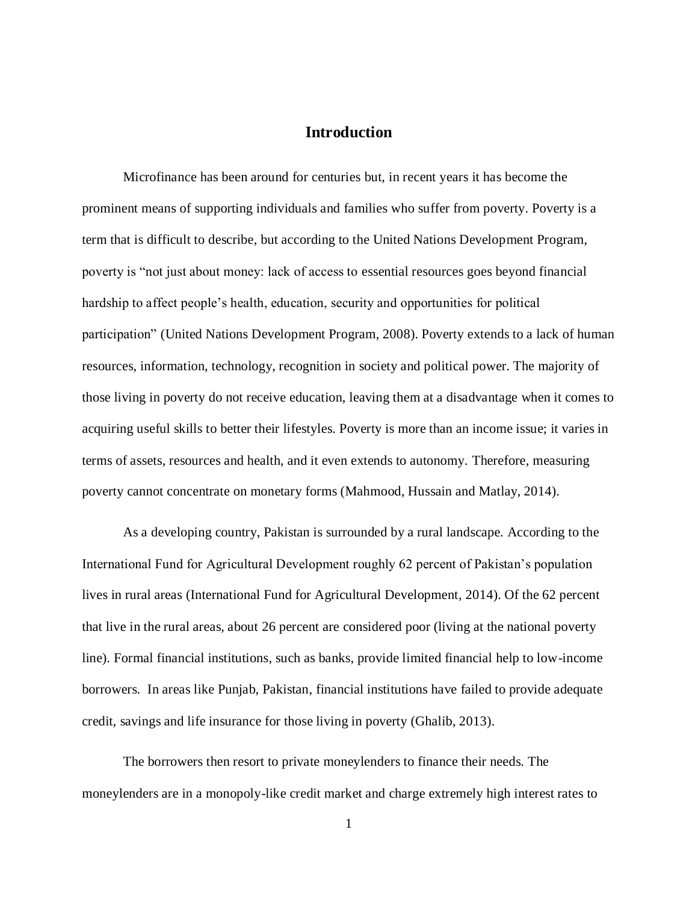#### **Introduction**

Microfinance has been around for centuries but, in recent years it has become the prominent means of supporting individuals and families who suffer from poverty. Poverty is a term that is difficult to describe, but according to the United Nations Development Program, poverty is "not just about money: lack of access to essential resources goes beyond financial hardship to affect people's health, education, security and opportunities for political participation" (United Nations Development Program, 2008). Poverty extends to a lack of human resources, information, technology, recognition in society and political power. The majority of those living in poverty do not receive education, leaving them at a disadvantage when it comes to acquiring useful skills to better their lifestyles. Poverty is more than an income issue; it varies in terms of assets, resources and health, and it even extends to autonomy. Therefore, measuring poverty cannot concentrate on monetary forms (Mahmood, Hussain and Matlay, 2014).

As a developing country, Pakistan is surrounded by a rural landscape. According to the International Fund for Agricultural Development roughly 62 percent of Pakistan's population lives in rural areas (International Fund for Agricultural Development, 2014). Of the 62 percent that live in the rural areas, about 26 percent are considered poor (living at the national poverty line). Formal financial institutions, such as banks, provide limited financial help to low-income borrowers. In areas like Punjab, Pakistan, financial institutions have failed to provide adequate credit, savings and life insurance for those living in poverty (Ghalib, 2013).

The borrowers then resort to private moneylenders to finance their needs. The moneylenders are in a monopoly-like credit market and charge extremely high interest rates to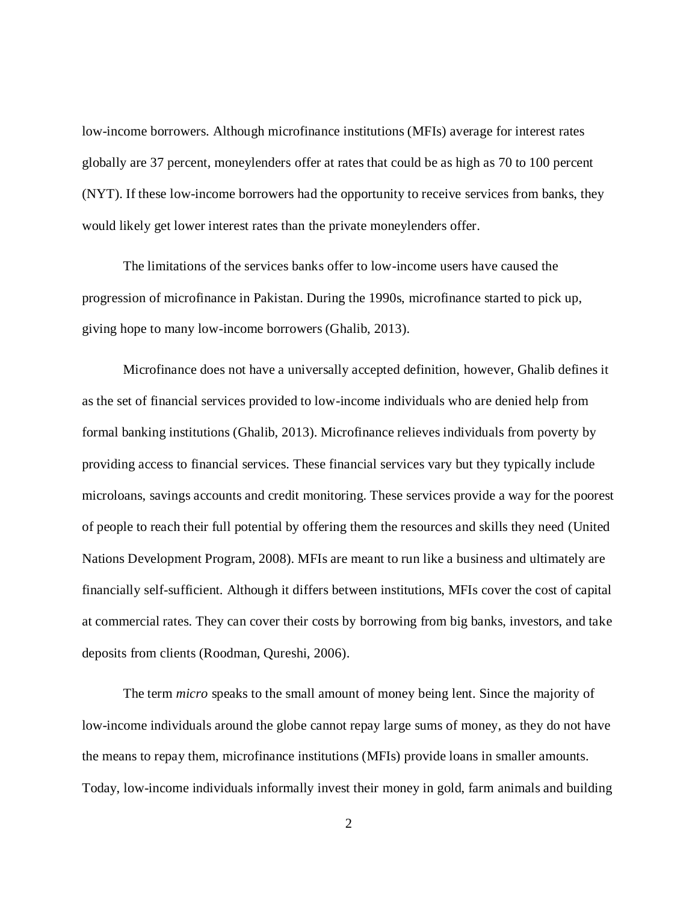low-income borrowers. Although microfinance institutions (MFIs) average for interest rates globally are 37 percent, moneylenders offer at rates that could be as high as 70 to 100 percent (NYT). If these low-income borrowers had the opportunity to receive services from banks, they would likely get lower interest rates than the private moneylenders offer.

The limitations of the services banks offer to low-income users have caused the progression of microfinance in Pakistan. During the 1990s, microfinance started to pick up, giving hope to many low-income borrowers (Ghalib, 2013).

Microfinance does not have a universally accepted definition, however, Ghalib defines it as the set of financial services provided to low-income individuals who are denied help from formal banking institutions (Ghalib, 2013). Microfinance relieves individuals from poverty by providing access to financial services. These financial services vary but they typically include microloans, savings accounts and credit monitoring. These services provide a way for the poorest of people to reach their full potential by offering them the resources and skills they need (United Nations Development Program, 2008). MFIs are meant to run like a business and ultimately are financially self-sufficient. Although it differs between institutions, MFIs cover the cost of capital at commercial rates. They can cover their costs by borrowing from big banks, investors, and take deposits from clients (Roodman, Qureshi, 2006).

The term *micro* speaks to the small amount of money being lent. Since the majority of low-income individuals around the globe cannot repay large sums of money, as they do not have the means to repay them, microfinance institutions (MFIs) provide loans in smaller amounts. Today, low-income individuals informally invest their money in gold, farm animals and building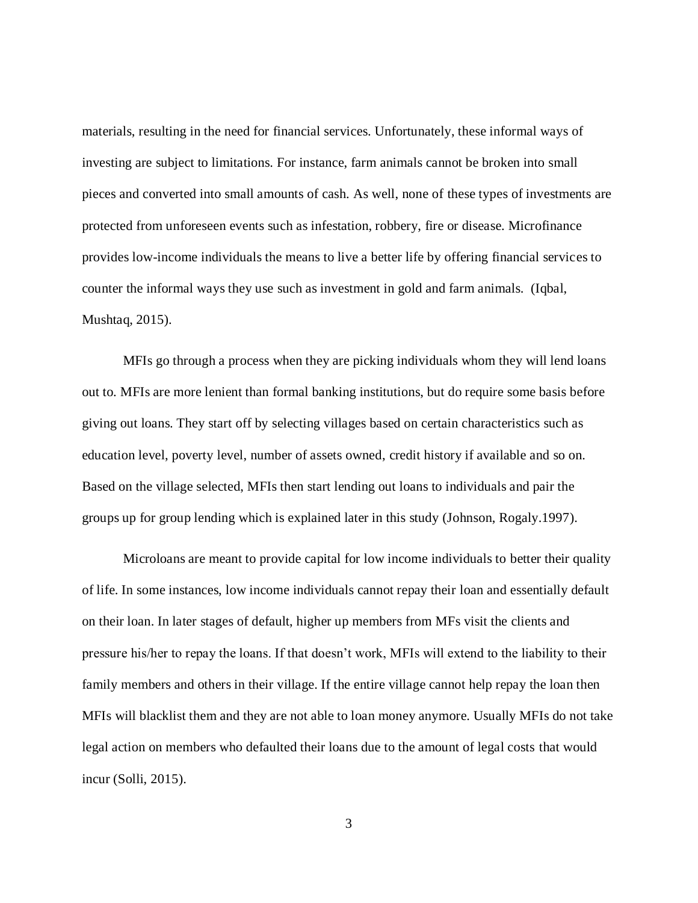materials, resulting in the need for financial services. Unfortunately, these informal ways of investing are subject to limitations. For instance, farm animals cannot be broken into small pieces and converted into small amounts of cash. As well, none of these types of investments are protected from unforeseen events such as infestation, robbery, fire or disease. Microfinance provides low-income individuals the means to live a better life by offering financial services to counter the informal ways they use such as investment in gold and farm animals. (Iqbal, Mushtaq, 2015).

MFIs go through a process when they are picking individuals whom they will lend loans out to. MFIs are more lenient than formal banking institutions, but do require some basis before giving out loans. They start off by selecting villages based on certain characteristics such as education level, poverty level, number of assets owned, credit history if available and so on. Based on the village selected, MFIs then start lending out loans to individuals and pair the groups up for group lending which is explained later in this study (Johnson, Rogaly.1997).

Microloans are meant to provide capital for low income individuals to better their quality of life. In some instances, low income individuals cannot repay their loan and essentially default on their loan. In later stages of default, higher up members from MFs visit the clients and pressure his/her to repay the loans. If that doesn't work, MFIs will extend to the liability to their family members and others in their village. If the entire village cannot help repay the loan then MFIs will blacklist them and they are not able to loan money anymore. Usually MFIs do not take legal action on members who defaulted their loans due to the amount of legal costs that would incur (Solli, 2015).

3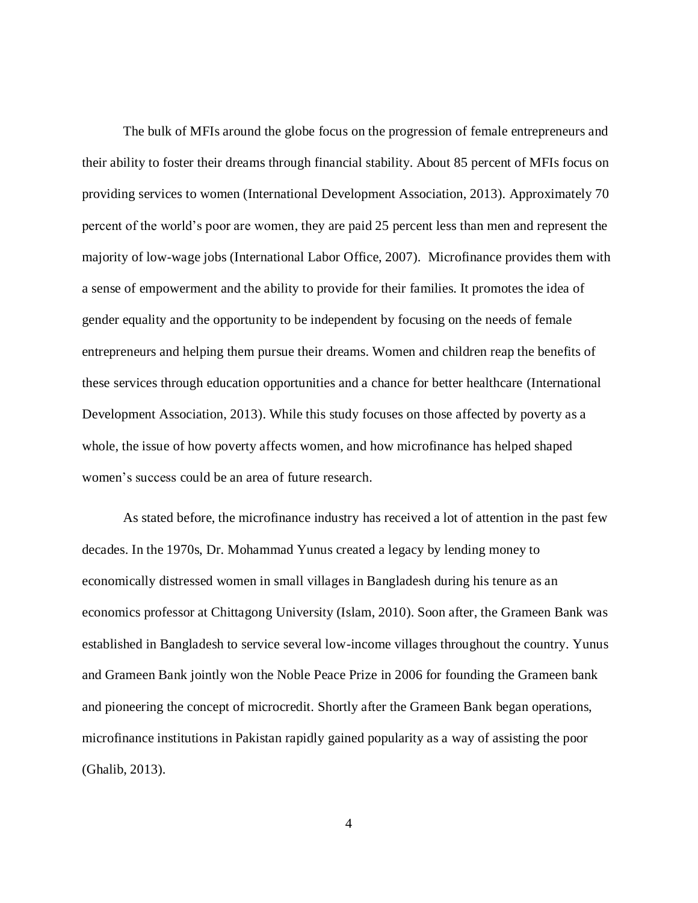The bulk of MFIs around the globe focus on the progression of female entrepreneurs and their ability to foster their dreams through financial stability. About 85 percent of MFIs focus on providing services to women (International Development Association, 2013). Approximately 70 percent of the world's poor are women, they are paid 25 percent less than men and represent the majority of low-wage jobs (International Labor Office, 2007). Microfinance provides them with a sense of empowerment and the ability to provide for their families. It promotes the idea of gender equality and the opportunity to be independent by focusing on the needs of female entrepreneurs and helping them pursue their dreams. Women and children reap the benefits of these services through education opportunities and a chance for better healthcare (International Development Association, 2013). While this study focuses on those affected by poverty as a whole, the issue of how poverty affects women, and how microfinance has helped shaped women's success could be an area of future research.

As stated before, the microfinance industry has received a lot of attention in the past few decades. In the 1970s, Dr. Mohammad Yunus created a legacy by lending money to economically distressed women in small villages in Bangladesh during his tenure as an economics professor at Chittagong University (Islam, 2010). Soon after, the Grameen Bank was established in Bangladesh to service several low-income villages throughout the country. Yunus and Grameen Bank jointly won the Noble Peace Prize in 2006 for founding the Grameen bank and pioneering the concept of microcredit. Shortly after the Grameen Bank began operations, microfinance institutions in Pakistan rapidly gained popularity as a way of assisting the poor (Ghalib, 2013).

4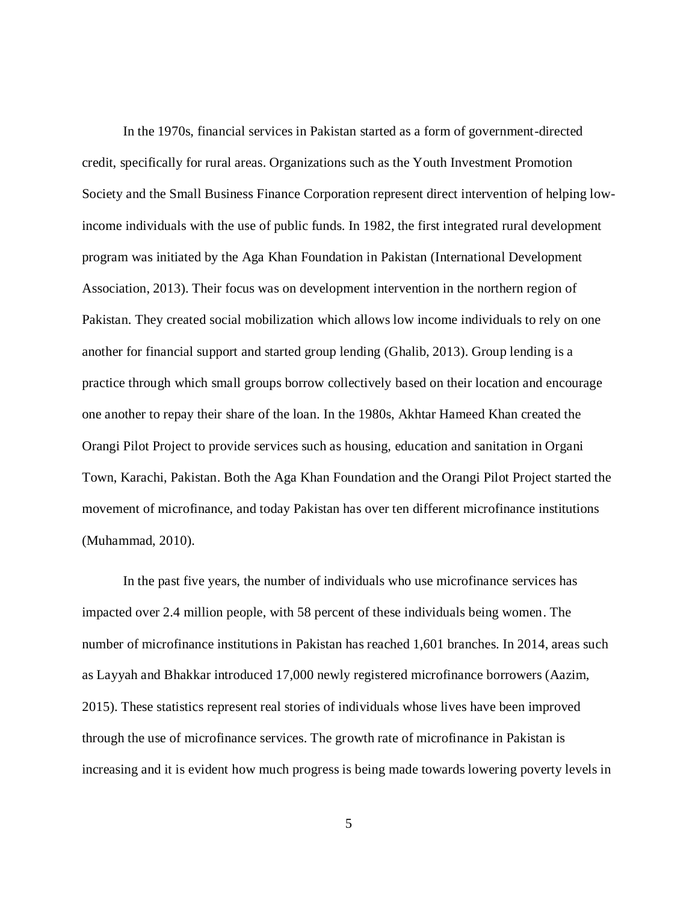In the 1970s, financial services in Pakistan started as a form of government-directed credit, specifically for rural areas. Organizations such as the Youth Investment Promotion Society and the Small Business Finance Corporation represent direct intervention of helping lowincome individuals with the use of public funds. In 1982, the first integrated rural development program was initiated by the Aga Khan Foundation in Pakistan (International Development Association, 2013). Their focus was on development intervention in the northern region of Pakistan. They created social mobilization which allows low income individuals to rely on one another for financial support and started group lending (Ghalib, 2013). Group lending is a practice through which small groups borrow collectively based on their location and encourage one another to repay their share of the loan. In the 1980s, Akhtar Hameed Khan created the Orangi Pilot Project to provide services such as housing, education and sanitation in Organi Town, Karachi, Pakistan. Both the Aga Khan Foundation and the Orangi Pilot Project started the movement of microfinance, and today Pakistan has over ten different microfinance institutions (Muhammad, 2010).

In the past five years, the number of individuals who use microfinance services has impacted over 2.4 million people, with 58 percent of these individuals being women. The number of microfinance institutions in Pakistan has reached 1,601 branches. In 2014, areas such as Layyah and Bhakkar introduced 17,000 newly registered microfinance borrowers (Aazim, 2015). These statistics represent real stories of individuals whose lives have been improved through the use of microfinance services. The growth rate of microfinance in Pakistan is increasing and it is evident how much progress is being made towards lowering poverty levels in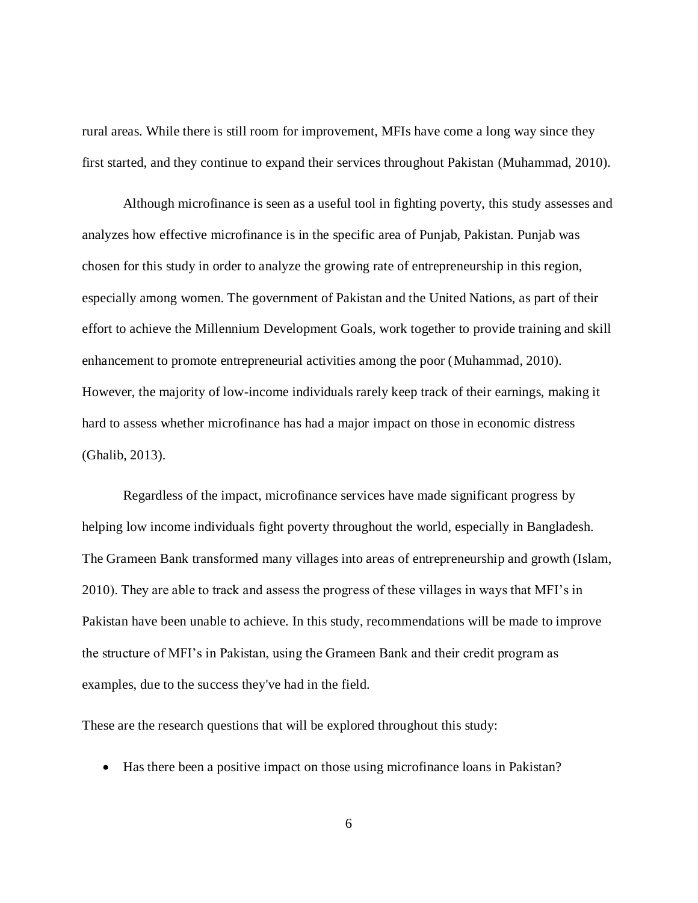rural areas. While there is still room for improvement, MFIs have come a long way since they first started, and they continue to expand their services throughout Pakistan (Muhammad, 2010).

Although microfinance is seen as a useful tool in fighting poverty, this study assesses and analyzes how effective microfinance is in the specific area of Punjab, Pakistan. Punjab was chosen for this study in order to analyze the growing rate of entrepreneurship in this region, especially among women. The government of Pakistan and the United Nations, as part of their effort to achieve the Millennium Development Goals, work together to provide training and skill enhancement to promote entrepreneurial activities among the poor (Muhammad, 2010). However, the majority of low-income individuals rarely keep track of their earnings, making it hard to assess whether microfinance has had a major impact on those in economic distress (Ghalib, 2013).

Regardless of the impact, microfinance services have made significant progress by helping low income individuals fight poverty throughout the world, especially in Bangladesh. The Grameen Bank transformed many villages into areas of entrepreneurship and growth (Islam, 2010). They are able to track and assess the progress of these villages in ways that MFI's in Pakistan have been unable to achieve. In this study, recommendations will be made to improve the structure of MFI's in Pakistan, using the Grameen Bank and their credit program as examples, due to the success they've had in the field.

These are the research questions that will be explored throughout this study:

Has there been a positive impact on those using microfinance loans in Pakistan?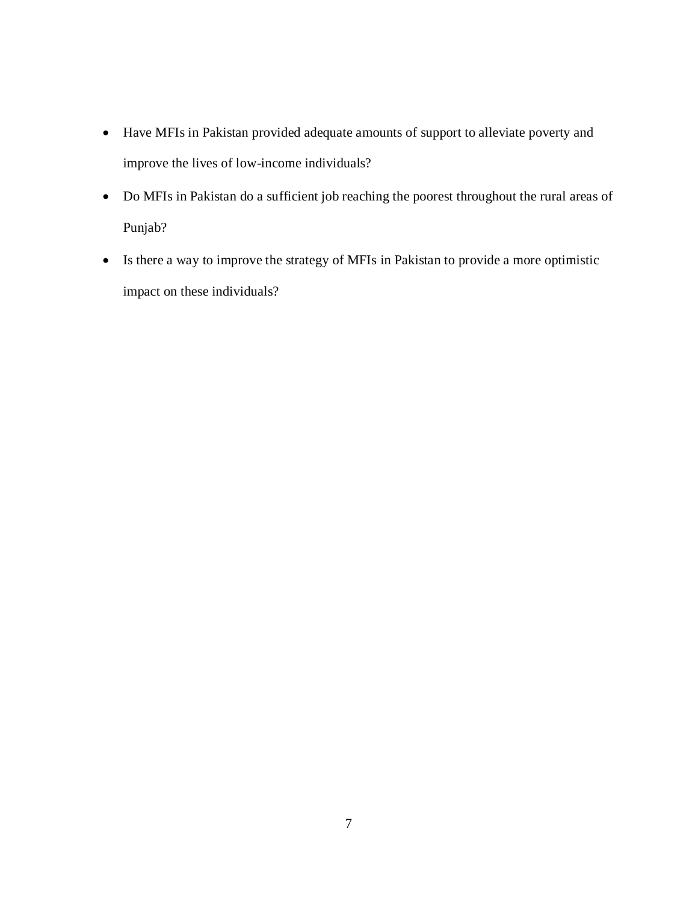- Have MFIs in Pakistan provided adequate amounts of support to alleviate poverty and improve the lives of low-income individuals?
- Do MFIs in Pakistan do a sufficient job reaching the poorest throughout the rural areas of Punjab?
- Is there a way to improve the strategy of MFIs in Pakistan to provide a more optimistic impact on these individuals?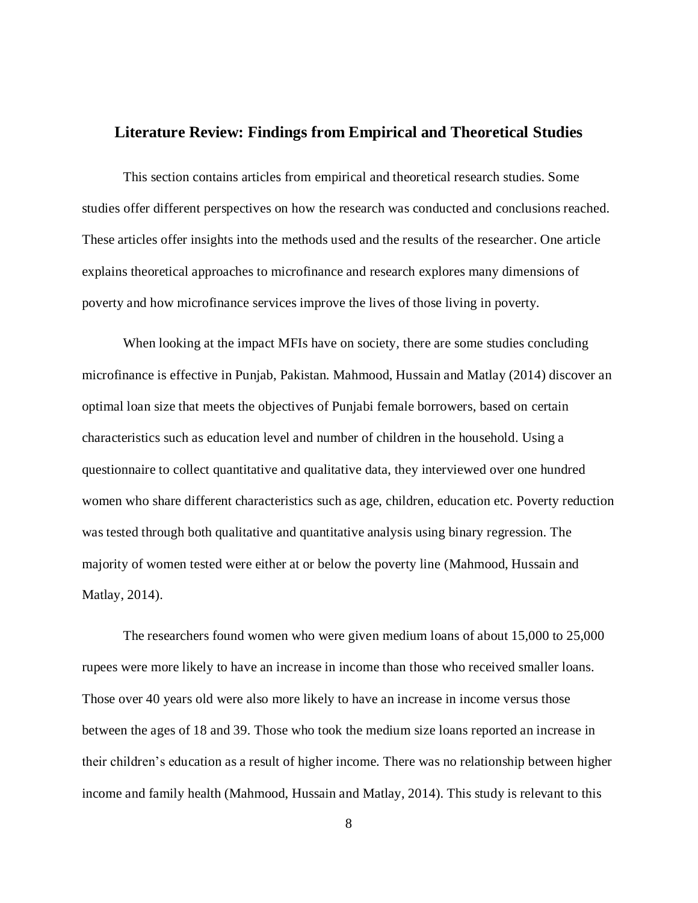#### **Literature Review: Findings from Empirical and Theoretical Studies**

This section contains articles from empirical and theoretical research studies. Some studies offer different perspectives on how the research was conducted and conclusions reached. These articles offer insights into the methods used and the results of the researcher. One article explains theoretical approaches to microfinance and research explores many dimensions of poverty and how microfinance services improve the lives of those living in poverty.

When looking at the impact MFIs have on society, there are some studies concluding microfinance is effective in Punjab, Pakistan. Mahmood, Hussain and Matlay (2014) discover an optimal loan size that meets the objectives of Punjabi female borrowers, based on certain characteristics such as education level and number of children in the household. Using a questionnaire to collect quantitative and qualitative data, they interviewed over one hundred women who share different characteristics such as age, children, education etc. Poverty reduction was tested through both qualitative and quantitative analysis using binary regression. The majority of women tested were either at or below the poverty line (Mahmood, Hussain and Matlay, 2014).

The researchers found women who were given medium loans of about 15,000 to 25,000 rupees were more likely to have an increase in income than those who received smaller loans. Those over 40 years old were also more likely to have an increase in income versus those between the ages of 18 and 39. Those who took the medium size loans reported an increase in their children's education as a result of higher income. There was no relationship between higher income and family health (Mahmood, Hussain and Matlay, 2014). This study is relevant to this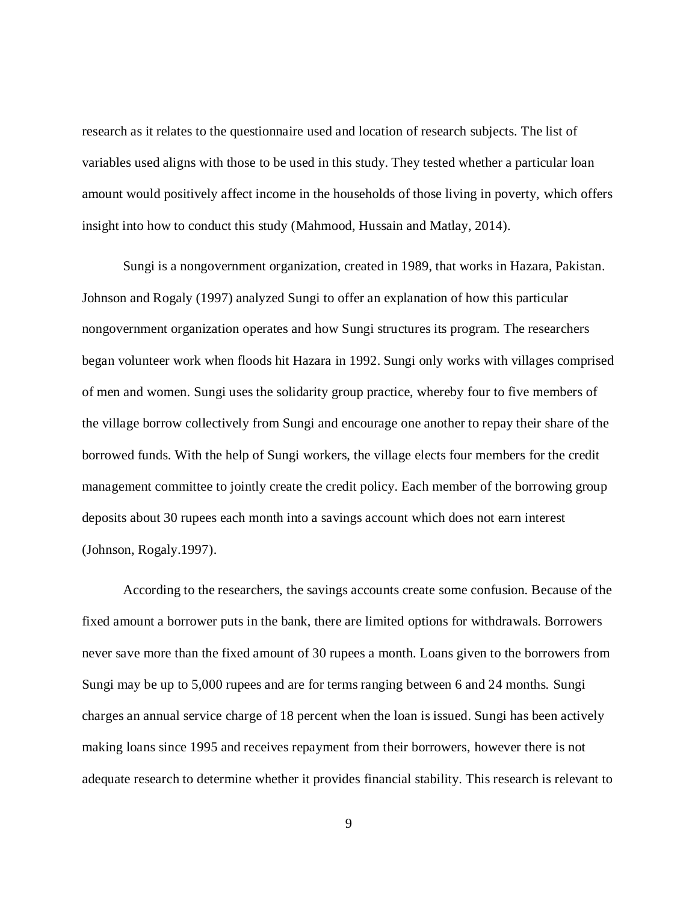research as it relates to the questionnaire used and location of research subjects. The list of variables used aligns with those to be used in this study. They tested whether a particular loan amount would positively affect income in the households of those living in poverty, which offers insight into how to conduct this study (Mahmood, Hussain and Matlay, 2014).

Sungi is a nongovernment organization, created in 1989, that works in Hazara, Pakistan. Johnson and Rogaly (1997) analyzed Sungi to offer an explanation of how this particular nongovernment organization operates and how Sungi structures its program. The researchers began volunteer work when floods hit Hazara in 1992. Sungi only works with villages comprised of men and women. Sungi uses the solidarity group practice, whereby four to five members of the village borrow collectively from Sungi and encourage one another to repay their share of the borrowed funds. With the help of Sungi workers, the village elects four members for the credit management committee to jointly create the credit policy. Each member of the borrowing group deposits about 30 rupees each month into a savings account which does not earn interest (Johnson, Rogaly.1997).

According to the researchers, the savings accounts create some confusion. Because of the fixed amount a borrower puts in the bank, there are limited options for withdrawals. Borrowers never save more than the fixed amount of 30 rupees a month. Loans given to the borrowers from Sungi may be up to 5,000 rupees and are for terms ranging between 6 and 24 months. Sungi charges an annual service charge of 18 percent when the loan is issued. Sungi has been actively making loans since 1995 and receives repayment from their borrowers, however there is not adequate research to determine whether it provides financial stability. This research is relevant to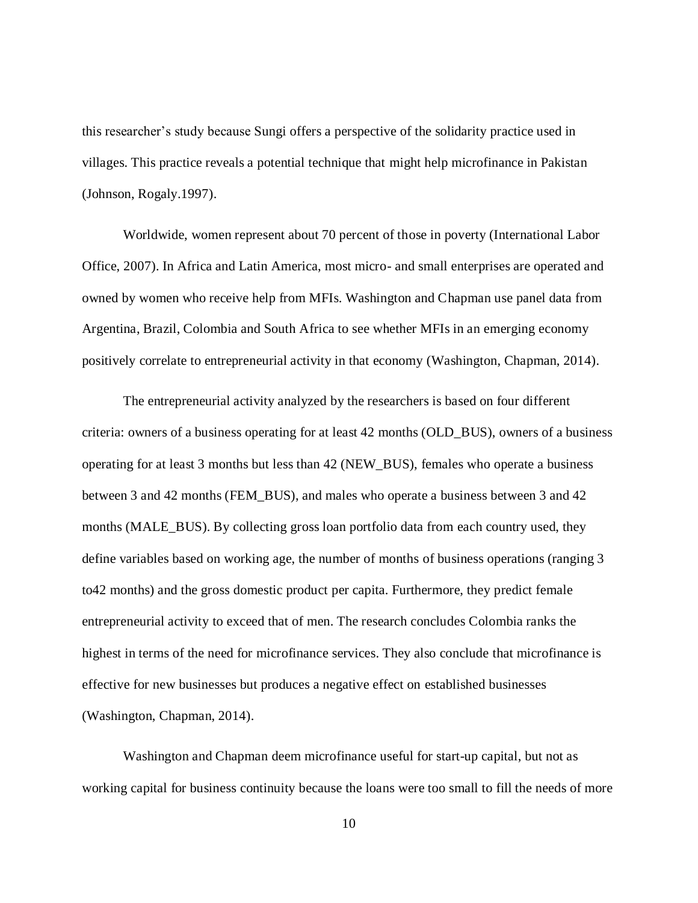this researcher's study because Sungi offers a perspective of the solidarity practice used in villages. This practice reveals a potential technique that might help microfinance in Pakistan (Johnson, Rogaly.1997).

Worldwide, women represent about 70 percent of those in poverty (International Labor Office, 2007). In Africa and Latin America, most micro- and small enterprises are operated and owned by women who receive help from MFIs. Washington and Chapman use panel data from Argentina, Brazil, Colombia and South Africa to see whether MFIs in an emerging economy positively correlate to entrepreneurial activity in that economy (Washington, Chapman, 2014).

The entrepreneurial activity analyzed by the researchers is based on four different criteria: owners of a business operating for at least 42 months (OLD\_BUS), owners of a business operating for at least 3 months but less than 42 (NEW\_BUS), females who operate a business between 3 and 42 months (FEM\_BUS), and males who operate a business between 3 and 42 months (MALE\_BUS). By collecting gross loan portfolio data from each country used, they define variables based on working age, the number of months of business operations (ranging 3 to42 months) and the gross domestic product per capita. Furthermore, they predict female entrepreneurial activity to exceed that of men. The research concludes Colombia ranks the highest in terms of the need for microfinance services. They also conclude that microfinance is effective for new businesses but produces a negative effect on established businesses (Washington, Chapman, 2014).

Washington and Chapman deem microfinance useful for start-up capital, but not as working capital for business continuity because the loans were too small to fill the needs of more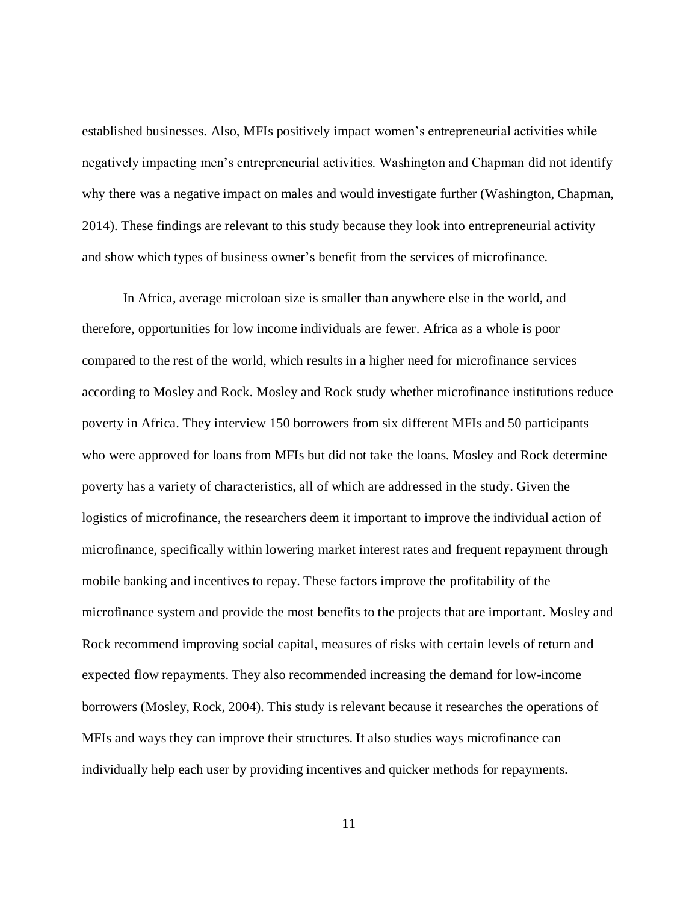established businesses. Also, MFIs positively impact women's entrepreneurial activities while negatively impacting men's entrepreneurial activities. Washington and Chapman did not identify why there was a negative impact on males and would investigate further (Washington, Chapman, 2014). These findings are relevant to this study because they look into entrepreneurial activity and show which types of business owner's benefit from the services of microfinance.

In Africa, average microloan size is smaller than anywhere else in the world, and therefore, opportunities for low income individuals are fewer. Africa as a whole is poor compared to the rest of the world, which results in a higher need for microfinance services according to Mosley and Rock. Mosley and Rock study whether microfinance institutions reduce poverty in Africa. They interview 150 borrowers from six different MFIs and 50 participants who were approved for loans from MFIs but did not take the loans. Mosley and Rock determine poverty has a variety of characteristics, all of which are addressed in the study. Given the logistics of microfinance, the researchers deem it important to improve the individual action of microfinance, specifically within lowering market interest rates and frequent repayment through mobile banking and incentives to repay. These factors improve the profitability of the microfinance system and provide the most benefits to the projects that are important. Mosley and Rock recommend improving social capital, measures of risks with certain levels of return and expected flow repayments. They also recommended increasing the demand for low-income borrowers (Mosley, Rock, 2004). This study is relevant because it researches the operations of MFIs and ways they can improve their structures. It also studies ways microfinance can individually help each user by providing incentives and quicker methods for repayments.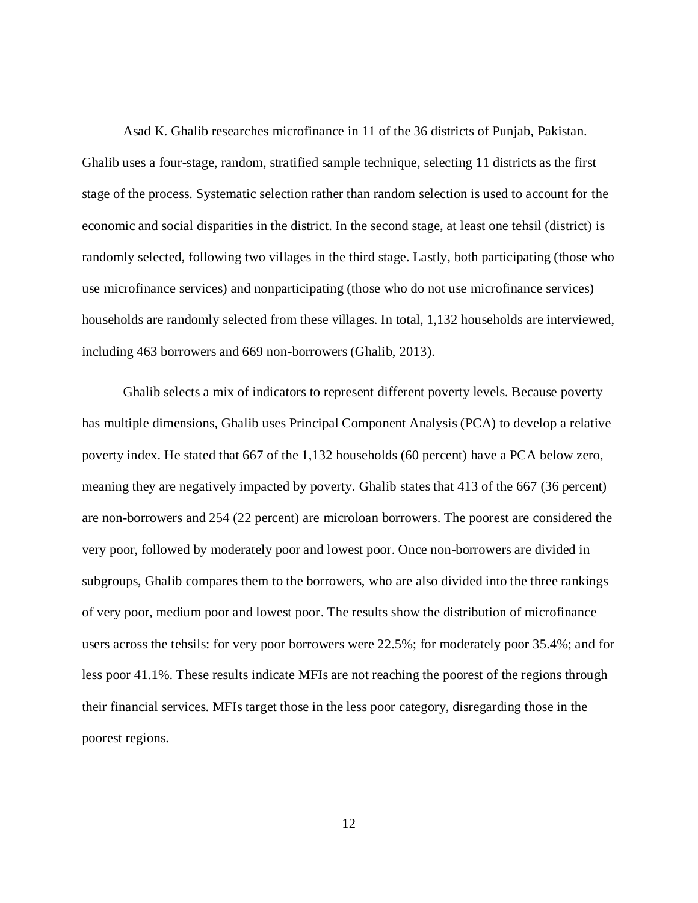Asad K. Ghalib researches microfinance in 11 of the 36 districts of Punjab, Pakistan. Ghalib uses a four-stage, random, stratified sample technique, selecting 11 districts as the first stage of the process. Systematic selection rather than random selection is used to account for the economic and social disparities in the district. In the second stage, at least one tehsil (district) is randomly selected, following two villages in the third stage. Lastly, both participating (those who use microfinance services) and nonparticipating (those who do not use microfinance services) households are randomly selected from these villages. In total, 1,132 households are interviewed, including 463 borrowers and 669 non-borrowers (Ghalib, 2013).

Ghalib selects a mix of indicators to represent different poverty levels. Because poverty has multiple dimensions, Ghalib uses Principal Component Analysis (PCA) to develop a relative poverty index. He stated that 667 of the 1,132 households (60 percent) have a PCA below zero, meaning they are negatively impacted by poverty. Ghalib states that 413 of the 667 (36 percent) are non-borrowers and 254 (22 percent) are microloan borrowers. The poorest are considered the very poor, followed by moderately poor and lowest poor. Once non-borrowers are divided in subgroups, Ghalib compares them to the borrowers, who are also divided into the three rankings of very poor, medium poor and lowest poor. The results show the distribution of microfinance users across the tehsils: for very poor borrowers were 22.5%; for moderately poor 35.4%; and for less poor 41.1%. These results indicate MFIs are not reaching the poorest of the regions through their financial services. MFIs target those in the less poor category, disregarding those in the poorest regions.

12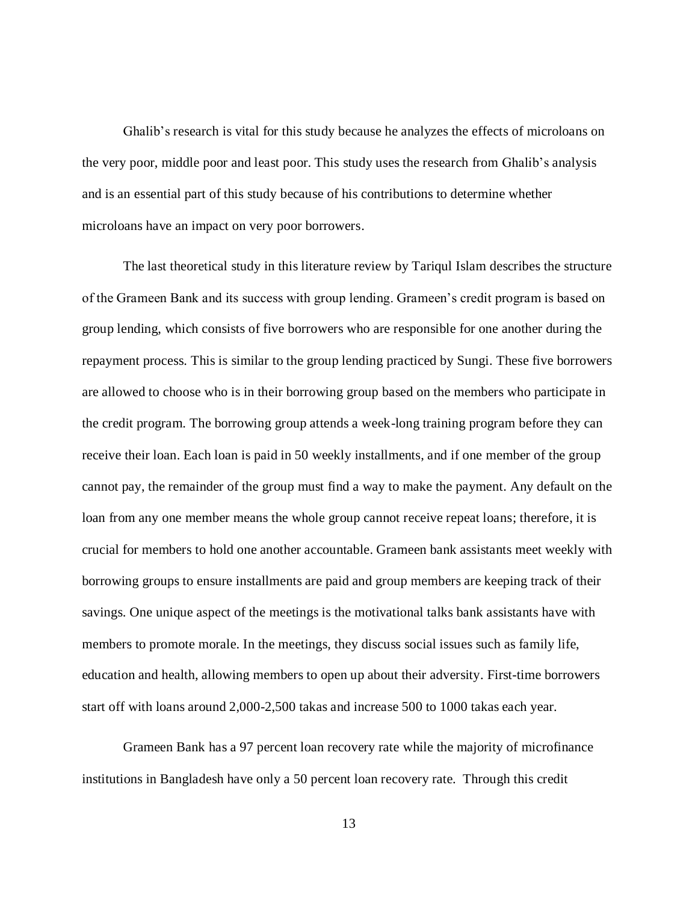Ghalib's research is vital for this study because he analyzes the effects of microloans on the very poor, middle poor and least poor. This study uses the research from Ghalib's analysis and is an essential part of this study because of his contributions to determine whether microloans have an impact on very poor borrowers.

The last theoretical study in this literature review by Tariqul Islam describes the structure of the Grameen Bank and its success with group lending. Grameen's credit program is based on group lending, which consists of five borrowers who are responsible for one another during the repayment process. This is similar to the group lending practiced by Sungi. These five borrowers are allowed to choose who is in their borrowing group based on the members who participate in the credit program. The borrowing group attends a week-long training program before they can receive their loan. Each loan is paid in 50 weekly installments, and if one member of the group cannot pay, the remainder of the group must find a way to make the payment. Any default on the loan from any one member means the whole group cannot receive repeat loans; therefore, it is crucial for members to hold one another accountable. Grameen bank assistants meet weekly with borrowing groups to ensure installments are paid and group members are keeping track of their savings. One unique aspect of the meetings is the motivational talks bank assistants have with members to promote morale. In the meetings, they discuss social issues such as family life, education and health, allowing members to open up about their adversity. First-time borrowers start off with loans around 2,000-2,500 takas and increase 500 to 1000 takas each year.

Grameen Bank has a 97 percent loan recovery rate while the majority of microfinance institutions in Bangladesh have only a 50 percent loan recovery rate. Through this credit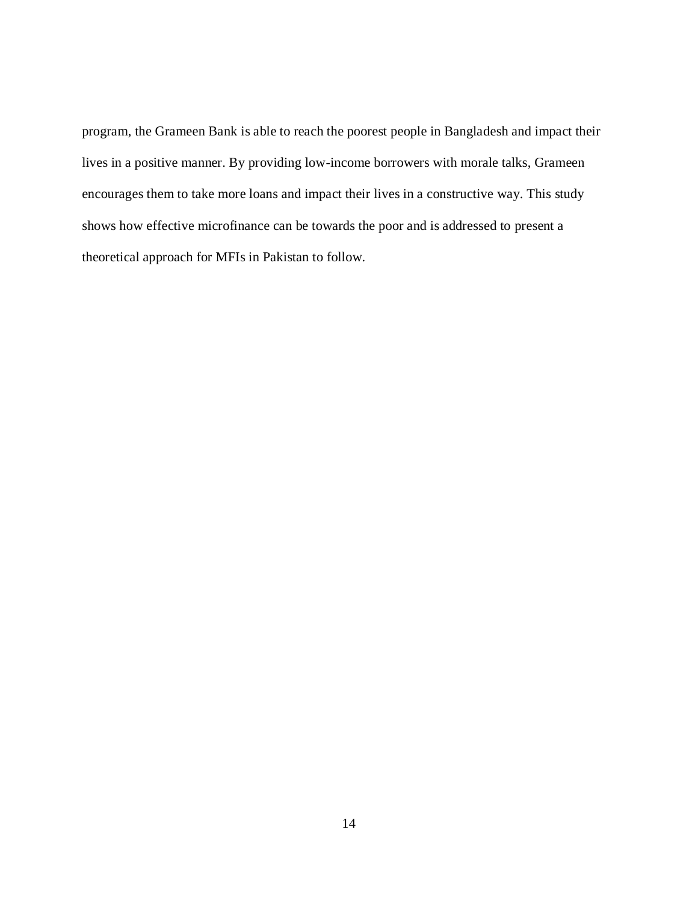program, the Grameen Bank is able to reach the poorest people in Bangladesh and impact their lives in a positive manner. By providing low-income borrowers with morale talks, Grameen encourages them to take more loans and impact their lives in a constructive way. This study shows how effective microfinance can be towards the poor and is addressed to present a theoretical approach for MFIs in Pakistan to follow.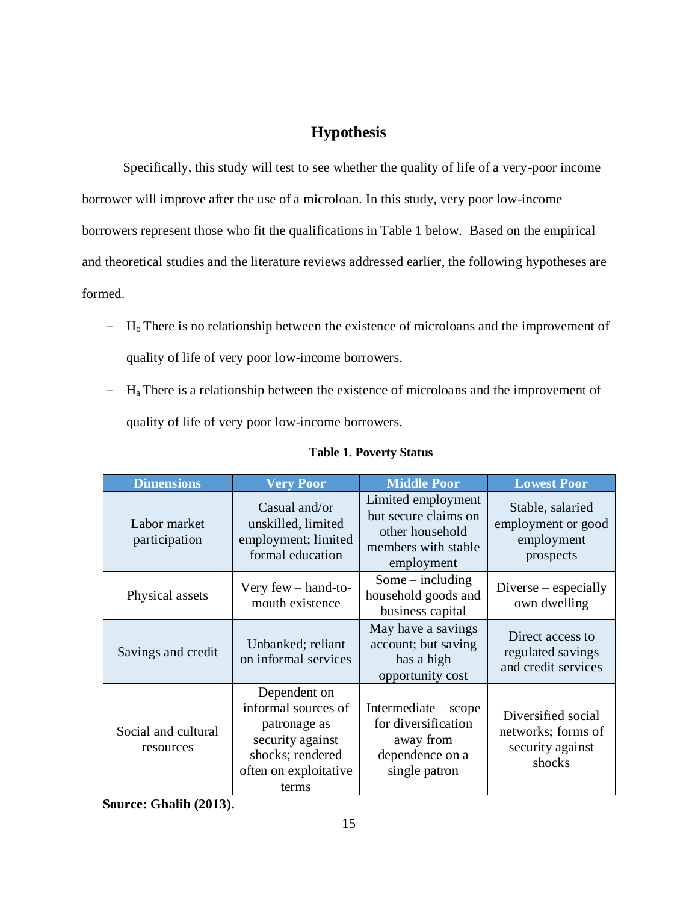# **Hypothesis**

Specifically, this study will test to see whether the quality of life of a very-poor income borrower will improve after the use of a microloan. In this study, very poor low-income borrowers represent those who fit the qualifications in Table 1 below. Based on the empirical and theoretical studies and the literature reviews addressed earlier, the following hypotheses are formed.

- $-H<sub>o</sub>$  There is no relationship between the existence of microloans and the improvement of quality of life of very poor low-income borrowers.
- $-H<sub>a</sub>$  There is a relationship between the existence of microloans and the improvement of quality of life of very poor low-income borrowers.

| <b>Dimensions</b>                | <b>Very Poor</b>                                                                                                              | <b>Middle Poor</b>                                                                                 | <b>Lowest Poor</b>                                                     |
|----------------------------------|-------------------------------------------------------------------------------------------------------------------------------|----------------------------------------------------------------------------------------------------|------------------------------------------------------------------------|
| Labor market<br>participation    | Casual and/or<br>unskilled, limited<br>employment; limited<br>formal education                                                | Limited employment<br>but secure claims on<br>other household<br>members with stable<br>employment | Stable, salaried<br>employment or good<br>employment<br>prospects      |
| Physical assets                  | Very few $-$ hand-to-<br>mouth existence                                                                                      | Some $-$ including<br>household goods and<br>business capital                                      | $Diverse$ – especially<br>own dwelling                                 |
| Savings and credit               | Unbanked; reliant<br>on informal services                                                                                     | May have a savings<br>account; but saving<br>has a high<br>opportunity cost                        | Direct access to<br>regulated savings<br>and credit services           |
| Social and cultural<br>resources | Dependent on<br>informal sources of<br>patronage as<br>security against<br>shocks; rendered<br>often on exploitative<br>terms | Intermediate – scope<br>for diversification<br>away from<br>dependence on a<br>single patron       | Diversified social<br>networks; forms of<br>security against<br>shocks |

#### **Table 1. Poverty Status**

**Source: Ghalib (2013).**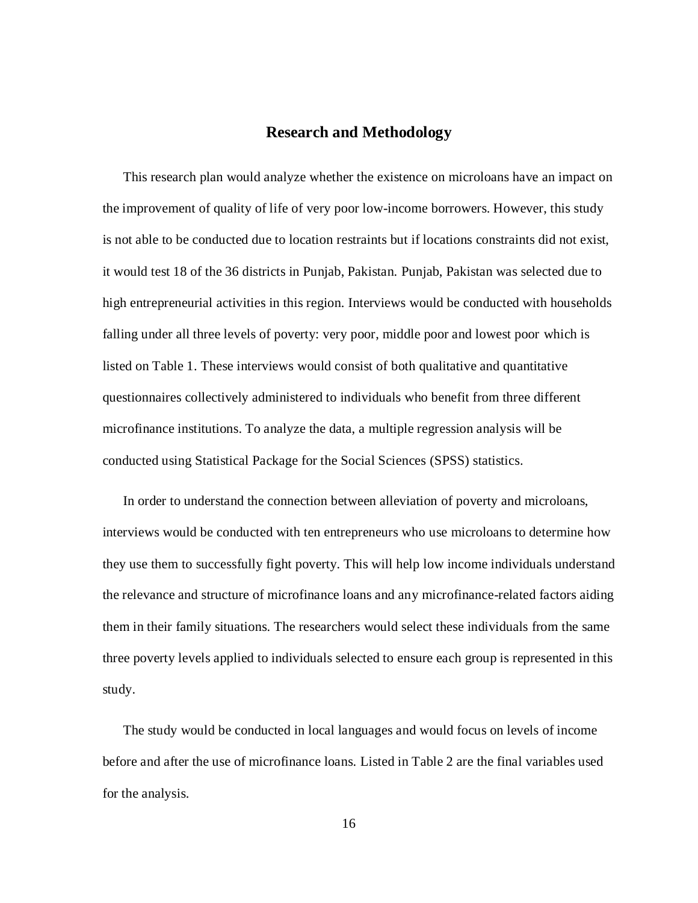#### **Research and Methodology**

This research plan would analyze whether the existence on microloans have an impact on the improvement of quality of life of very poor low-income borrowers. However, this study is not able to be conducted due to location restraints but if locations constraints did not exist, it would test 18 of the 36 districts in Punjab, Pakistan. Punjab, Pakistan was selected due to high entrepreneurial activities in this region. Interviews would be conducted with households falling under all three levels of poverty: very poor, middle poor and lowest poor which is listed on Table 1. These interviews would consist of both qualitative and quantitative questionnaires collectively administered to individuals who benefit from three different microfinance institutions. To analyze the data, a multiple regression analysis will be conducted using Statistical Package for the Social Sciences (SPSS) statistics.

In order to understand the connection between alleviation of poverty and microloans, interviews would be conducted with ten entrepreneurs who use microloans to determine how they use them to successfully fight poverty. This will help low income individuals understand the relevance and structure of microfinance loans and any microfinance-related factors aiding them in their family situations. The researchers would select these individuals from the same three poverty levels applied to individuals selected to ensure each group is represented in this study.

The study would be conducted in local languages and would focus on levels of income before and after the use of microfinance loans. Listed in Table 2 are the final variables used for the analysis.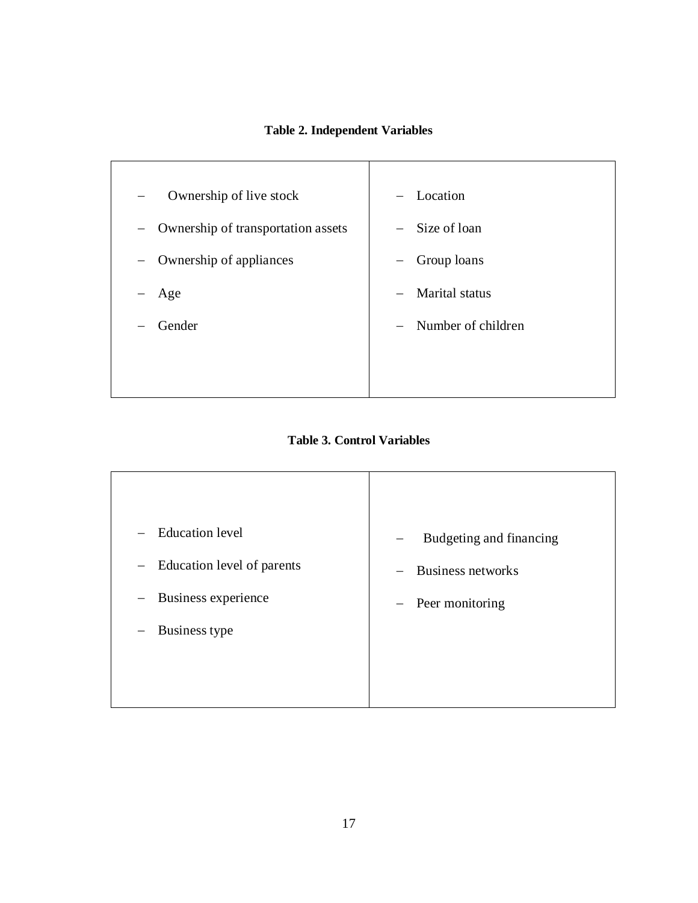#### **Table 2. Independent Variables**



**Table 3. Control Variables**

| <b>Education</b> level<br>$\overline{\phantom{m}}$<br>Education level of parents<br>$\overline{\phantom{m}}$<br>Business experience | Budgeting and financing<br>$\overline{\phantom{m}}$<br>Business networks<br>$\equiv$ |
|-------------------------------------------------------------------------------------------------------------------------------------|--------------------------------------------------------------------------------------|
| Business type<br>$\overline{\phantom{0}}$                                                                                           | - Peer monitoring                                                                    |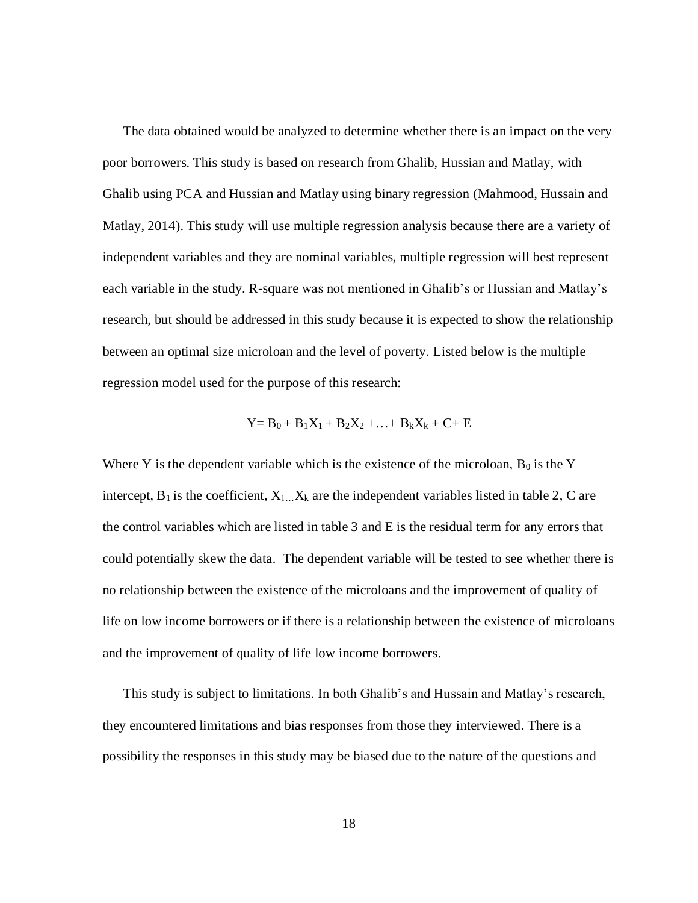The data obtained would be analyzed to determine whether there is an impact on the very poor borrowers. This study is based on research from Ghalib, Hussian and Matlay, with Ghalib using PCA and Hussian and Matlay using binary regression (Mahmood, Hussain and Matlay, 2014). This study will use multiple regression analysis because there are a variety of independent variables and they are nominal variables, multiple regression will best represent each variable in the study. R-square was not mentioned in Ghalib's or Hussian and Matlay's research, but should be addressed in this study because it is expected to show the relationship between an optimal size microloan and the level of poverty. Listed below is the multiple regression model used for the purpose of this research:

$$
Y = B_0 + B_1 X_1 + B_2 X_2 + \ldots + B_k X_k + C + E
$$

Where Y is the dependent variable which is the existence of the microloan,  $B_0$  is the Y intercept,  $B_1$  is the coefficient,  $X_{1}$ .  $X_k$  are the independent variables listed in table 2, C are the control variables which are listed in table 3 and E is the residual term for any errors that could potentially skew the data. The dependent variable will be tested to see whether there is no relationship between the existence of the microloans and the improvement of quality of life on low income borrowers or if there is a relationship between the existence of microloans and the improvement of quality of life low income borrowers.

This study is subject to limitations. In both Ghalib's and Hussain and Matlay's research, they encountered limitations and bias responses from those they interviewed. There is a possibility the responses in this study may be biased due to the nature of the questions and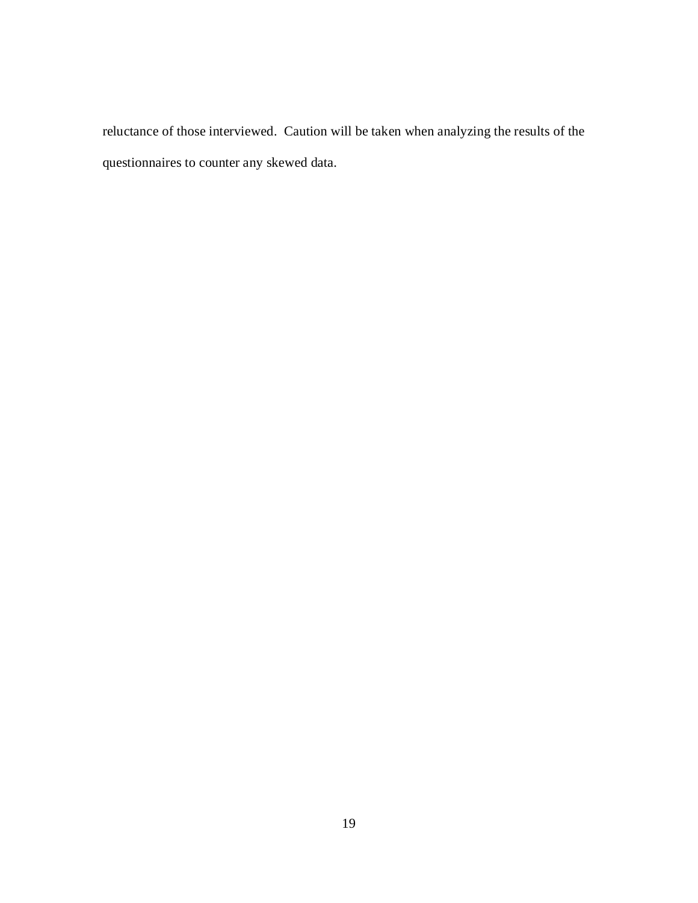reluctance of those interviewed. Caution will be taken when analyzing the results of the questionnaires to counter any skewed data.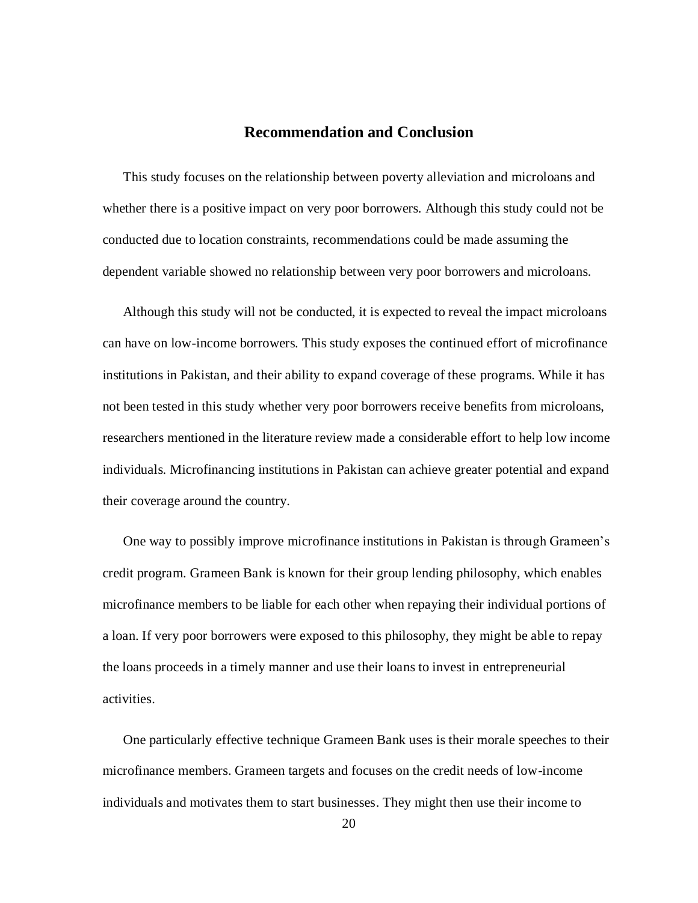#### **Recommendation and Conclusion**

This study focuses on the relationship between poverty alleviation and microloans and whether there is a positive impact on very poor borrowers. Although this study could not be conducted due to location constraints, recommendations could be made assuming the dependent variable showed no relationship between very poor borrowers and microloans.

Although this study will not be conducted, it is expected to reveal the impact microloans can have on low-income borrowers. This study exposes the continued effort of microfinance institutions in Pakistan, and their ability to expand coverage of these programs. While it has not been tested in this study whether very poor borrowers receive benefits from microloans, researchers mentioned in the literature review made a considerable effort to help low income individuals. Microfinancing institutions in Pakistan can achieve greater potential and expand their coverage around the country.

One way to possibly improve microfinance institutions in Pakistan is through Grameen's credit program. Grameen Bank is known for their group lending philosophy, which enables microfinance members to be liable for each other when repaying their individual portions of a loan. If very poor borrowers were exposed to this philosophy, they might be able to repay the loans proceeds in a timely manner and use their loans to invest in entrepreneurial activities.

One particularly effective technique Grameen Bank uses is their morale speeches to their microfinance members. Grameen targets and focuses on the credit needs of low-income individuals and motivates them to start businesses. They might then use their income to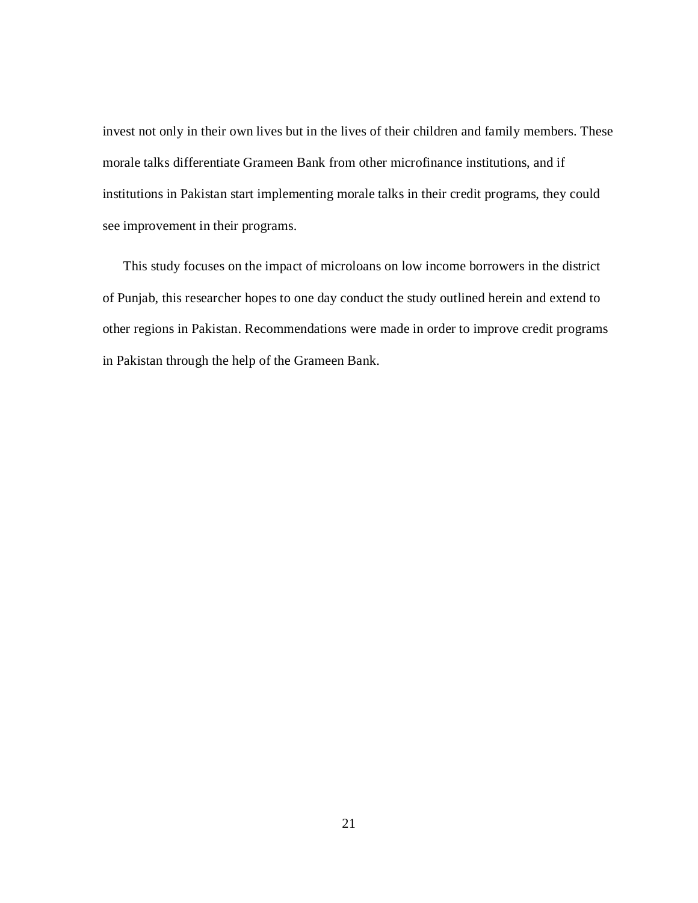invest not only in their own lives but in the lives of their children and family members. These morale talks differentiate Grameen Bank from other microfinance institutions, and if institutions in Pakistan start implementing morale talks in their credit programs, they could see improvement in their programs.

This study focuses on the impact of microloans on low income borrowers in the district of Punjab, this researcher hopes to one day conduct the study outlined herein and extend to other regions in Pakistan. Recommendations were made in order to improve credit programs in Pakistan through the help of the Grameen Bank.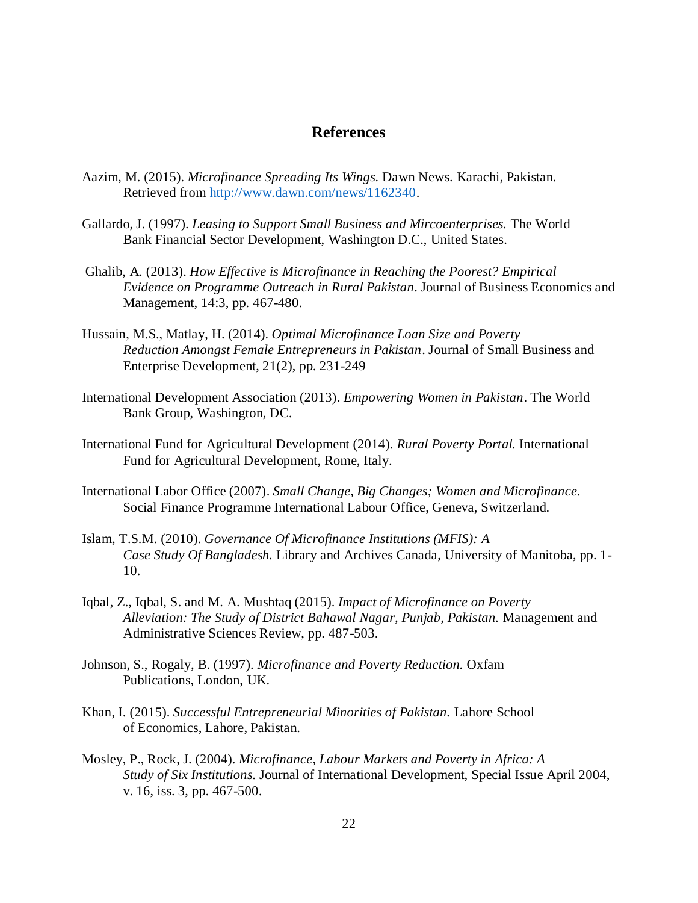#### **References**

- Aazim, M. (2015). *Microfinance Spreading Its Wings.* Dawn News. Karachi, Pakistan. Retrieved from [http://www.dawn.com/news/1162340.](http://www.dawn.com/news/1162340)
- Gallardo, J. (1997). *Leasing to Support Small Business and Mircoenterprises.* The World Bank Financial Sector Development, Washington D.C., United States.
- Ghalib, A. (2013). *How Effective is Microfinance in Reaching the Poorest? Empirical Evidence on Programme Outreach in Rural Pakistan*. Journal of Business Economics and Management, 14:3, pp. 467-480.
- Hussain, M.S., Matlay, H. (2014). *Optimal Microfinance Loan Size and Poverty Reduction Amongst Female Entrepreneurs in Pakistan*. Journal of Small Business and Enterprise Development, 21(2), pp. 231-249
- International Development Association (2013). *Empowering Women in Pakistan*. The World Bank Group, Washington, DC.
- International Fund for Agricultural Development (2014). *Rural Poverty Portal.* International Fund for Agricultural Development, Rome, Italy.
- International Labor Office (2007). *Small Change, Big Changes; Women and Microfinance.* Social Finance Programme International Labour Office, Geneva, Switzerland.
- Islam, T.S.M. (2010). *Governance Of Microfinance Institutions (MFIS): A Case Study Of Bangladesh.* Library and Archives Canada, University of Manitoba, pp. 1- 10.
- Iqbal, Z., Iqbal, S. and M. A. Mushtaq (2015). *Impact of Microfinance on Poverty Alleviation: The Study of District Bahawal Nagar, Punjab, Pakistan.* Management and Administrative Sciences Review, pp. 487-503.
- Johnson, S., Rogaly, B. (1997). *Microfinance and Poverty Reduction.* Oxfam Publications, London, UK.
- Khan, I. (2015). *Successful Entrepreneurial Minorities of Pakistan.* Lahore School of Economics, Lahore, Pakistan.
- Mosley, P., Rock, J. (2004). *Microfinance, Labour Markets and Poverty in Africa: A Study of Six Institutions.* Journal of International Development, Special Issue April 2004, v. 16, iss. 3, pp. 467-500.